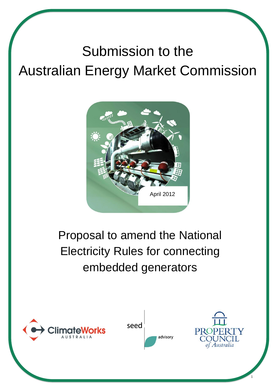# Submission to the Australian Energy Market Commission



## Proposal to amend the National Electricity Rules for connecting embedded generators









1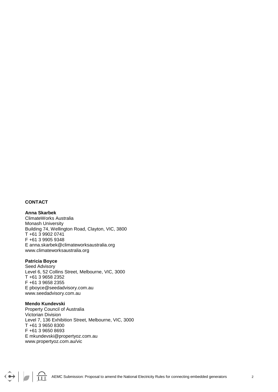#### **CONTACT**

#### **Anna Skarbek**

ClimateWorks Australia Monash University Building 74, Wellington Road, Clayton, VIC, 3800 T +61 3 9902 0741 F +61 3 9905 9348 E anna.skarbek@climateworksaustralia.org www.climateworksaustralia.org

#### **Patricia Boyce**

Seed Advisory Level 6, 52 Collins Street, Melbourne, VIC, 3000 T +61 3 9658 2352 F +61 3 9658 2355 E pboyce@seedadvisory.com.au www.seedadvisory.com.au

#### **Mendo Kundevski**

 $\bigodot$ 

Property Council of Australia Victorian Division Level 7, 136 Exhibition Street, Melbourne, VIC, 3000 T +61 3 9650 8300 F +61 3 9650 8693 E mkundevski@propertyoz.com.au www.propertyoz.com.au/vic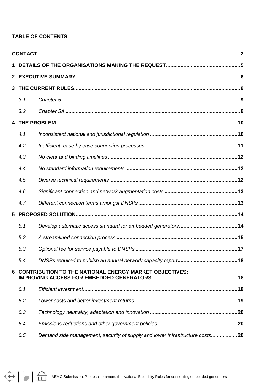#### **TABLE OF CONTENTS**

| 3 |                                                               |                                                                             |  |  |
|---|---------------------------------------------------------------|-----------------------------------------------------------------------------|--|--|
|   | 3.1                                                           |                                                                             |  |  |
|   | 3.2                                                           |                                                                             |  |  |
|   |                                                               |                                                                             |  |  |
|   | 4.1                                                           |                                                                             |  |  |
|   | 4.2                                                           |                                                                             |  |  |
|   | 4.3                                                           |                                                                             |  |  |
|   | 4.4                                                           |                                                                             |  |  |
|   | 4.5                                                           |                                                                             |  |  |
|   | 4.6                                                           |                                                                             |  |  |
|   | 4.7                                                           |                                                                             |  |  |
| 5 |                                                               |                                                                             |  |  |
|   | 5.1                                                           |                                                                             |  |  |
|   | 5.2                                                           |                                                                             |  |  |
|   | 5.3                                                           |                                                                             |  |  |
|   | 5.4                                                           |                                                                             |  |  |
| 6 | <b>CONTRIBUTION TO THE NATIONAL ENERGY MARKET OBJECTIVES:</b> |                                                                             |  |  |
|   | 6.1                                                           |                                                                             |  |  |
|   | 6.2                                                           |                                                                             |  |  |
|   | 6.3                                                           |                                                                             |  |  |
|   | 6.4                                                           |                                                                             |  |  |
|   | 6.5                                                           | Demand side management, security of supply and lower infrastructure costs20 |  |  |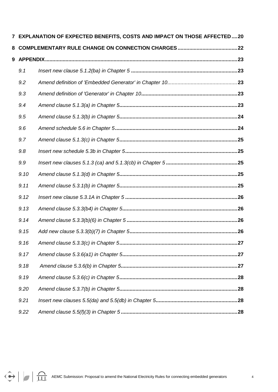|      | 7 EXPLANATION OF EXPECTED BENEFITS, COSTS AND IMPACT ON THOSE AFFECTED20 |  |
|------|--------------------------------------------------------------------------|--|
|      |                                                                          |  |
|      |                                                                          |  |
| 9.1  |                                                                          |  |
| 9.2  |                                                                          |  |
| 9.3  |                                                                          |  |
| 9.4  |                                                                          |  |
| 9.5  |                                                                          |  |
| 9.6  |                                                                          |  |
| 9.7  |                                                                          |  |
| 9.8  |                                                                          |  |
| 9.9  |                                                                          |  |
| 9.10 |                                                                          |  |
| 9.11 |                                                                          |  |
| 9.12 |                                                                          |  |
| 9.13 |                                                                          |  |
| 9.14 |                                                                          |  |
| 9.15 |                                                                          |  |
| 9.16 |                                                                          |  |
| 9.17 |                                                                          |  |
| 9.18 |                                                                          |  |
| 9.19 |                                                                          |  |
| 9.20 |                                                                          |  |
| 9.21 |                                                                          |  |
| 9.22 |                                                                          |  |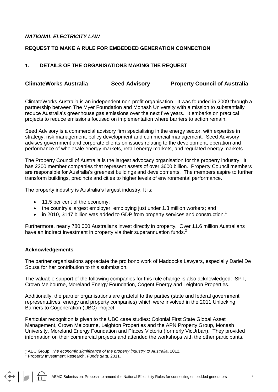#### *NATIONAL ELECTRICITY LAW*

#### **REQUEST TO MAKE A RULE FOR EMBEDDED GENERATION CONNECTION**

#### **1. DETAILS OF THE ORGANISATIONS MAKING THE REQUEST**

#### **ClimateWorks Australia Seed Advisory Property Council of Australia**

ClimateWorks Australia is an independent non-profit organisation. It was founded in 2009 through a partnership between The Myer Foundation and Monash University with a mission to substantially reduce Australia"s greenhouse gas emissions over the next five years. It embarks on practical projects to reduce emissions focused on implementation where barriers to action remain.

Seed Advisory is a commercial advisory firm specialising in the energy sector, with expertise in strategy, risk management, policy development and commercial management. Seed Advisory advises government and corporate clients on issues relating to the development, operation and performance of wholesale energy markets, retail energy markets, and regulated energy markets.

The Property Council of Australia is the largest advocacy organisation for the property industry. It has 2200 member companies that represent assets of over \$600 billion. Property Council members are responsible for Australia"s greenest buildings and developments. The members aspire to further transform buildings, precincts and cities to higher levels of environmental performance.

The property industry is Australia's largest industry. It is:

- 11.5 per cent of the economy;
- the country's largest employer, employing just under 1.3 million workers; and
- $\bullet$  in 2010, \$147 billion was added to GDP from property services and construction.<sup>1</sup>

Furthermore, nearly 780,000 Australians invest directly in property. Over 11.6 million Australians have an indirect investment in property via their superannuation funds.<sup>2</sup>

#### **Acknowledgements**

The partner organisations appreciate the pro bono work of Maddocks Lawyers, especially Dariel De Sousa for her contribution to this submission.

The valuable support of the following companies for this rule change is also acknowledged: ISPT, Crown Melbourne, Moreland Energy Foundation, Cogent Energy and Leighton Properties.

Additionally, the partner organisations are grateful to the parties (state and federal government representatives, energy and property companies) which were involved in the 2011 Unlocking Barriers to Cogeneration (UBC) Project.

Particular recognition is given to the UBC case studies: Colonial First State Global Asset Management, Crown Melbourne, Leighton Properties and the APN Property Group, Monash University, Moreland Energy Foundation and Places Victoria (formerly VicUrban). They provided information on their commercial projects and attended the workshops with the other participants.

 1 AEC Group, *The economic significance of the property industry to Australia*, 2012.

<sup>2</sup> Property Investment Research, *Funds data*, 2011.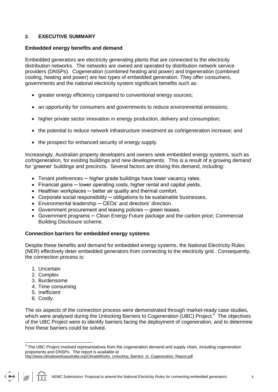#### **2. EXECUTIVE SUMMARY**

#### **Embedded energy benefits and demand**

Embedded generators are electricity generating plants that are connected to the electricity distribution networks. The networks are owned and operated by distribution network service providers (DNSPs). Cogeneration (combined heating and power) and trigeneration (combined cooling, heating and power) are two types of embedded generation. They offer consumers, governments and the national electricity system significant benefits such as:

- greater energy efficiency compared to conventional energy sources;
- an opportunity for consumers and governments to reduce environmental emissions;
- higher private sector innovation in energy production, delivery and consumption;
- the potential to reduce network infrastructure investment as co/trigeneration increase; and
- the prospect for enhanced security of energy supply.

Increasingly, Australian property developers and owners seek embedded energy systems, such as co/trigeneration, for existing buildings and new developments. This is a result of a growing demand for "greener" buildings and precincts. Several factors are driving this demand, including:

- Tenant preferences ─ higher grade buildings have lower vacancy rates.
- Financial gains ─ lower operating costs, higher rental and capital yields.
- Healthier workplaces better air quality and thermal comfort.
- Corporate social responsibility ─ obligations to be sustainable businesses.
- Environmental leadership CEOs' and directors' direction.
- Government procurement and leasing policies green leases.
- Government programs ─ Clean Energy Future package and the carbon price; Commercial Building Disclosure scheme.

#### **Connection barriers for embedded energy systems**

Despite these benefits and demand for embedded energy systems, the National Electricity Rules (NER) effectively deter embedded generators from connecting to the electricity grid. Consequently, the connection process is:

- 1. Uncertain
- 2. Complex
- 3. Burdensome
- 4. Time consuming
- 5. Inefficient
- 6. Costly.

The six aspects of the connection process were demonstrated through market-ready case studies, which were analysed during the Unlocking Barriers to Cogeneration (UBC) Project.<sup>3</sup> The objectives of the UBC Project were to identify barriers facing the deployment of cogeneration, and to determine how these barriers could be solved.

 3 The UBC Project involved representatives from the cogeneration demand and supply chain, including cogeneration proponents and DNSPs. The report is available at

[http://www.climateworksaustralia.org/ClimateWorks\\_Unlocking\\_Barriers\\_to\\_Cogeneration\\_Report.pdf](http://www.climateworksaustralia.org/ClimateWorks_Unlocking_Barriers_to_Cogeneration_Report.pdf)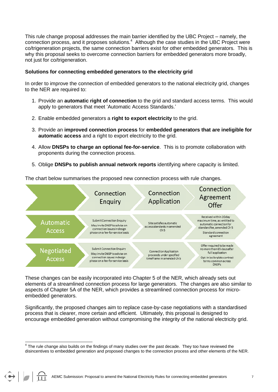This rule change proposal addresses the main barrier identified by the UBC Project – namely, the connection process, and it proposes solutions.<sup>4</sup> Although the case studies in the UBC Project were co/trigeneration projects, the same connection barriers exist for other embedded generators. This is why this proposal seeks to overcome connection barriers for embedded generators more broadly, not just for co/trigeneration.

#### **Solutions for connecting embedded generators to the electricity grid**

In order to improve the connection of embedded generators to the national electricity grid, changes to the NER are required to:

- 1. Provide an **automatic right of connection** to the grid and standard access terms. This would apply to generators that meet "Automatic Access Standards."
- 2. Enable embedded generators a **right to export electricity** to the grid.
- 3. Provide an **improved connection process** for **embedded generators that are ineligible for automatic access** and a right to export electricity to the grid.
- 4. Allow **DNSPs to charge an optional fee-for-service**. This is to promote collaboration with proponents during the connection process.
- 5. Oblige **DNSPs to publish annual network reports** identifying where capacity is limited.

The chart below summarises the proposed new connection process with rule changes.



These changes can be easily incorporated into Chapter 5 of the NER, which already sets out elements of a streamlined connection process for large generators. The changes are also similar to aspects of Chapter 5A of the NER, which provides a streamlined connection process for microembedded generators.

Significantly, the proposed changes aim to replace case-by-case negotiations with a standardised process that is clearer, more certain and efficient. Ultimately, this proposal is designed to encourage embedded generation without compromising the integrity of the national electricity grid.

AEMC Submission: Proposal to amend the National Electricity Rules for connecting embedded generators 7

 4 The rule change also builds on the findings of many studies over the past decade. They too have reviewed the disincentives to embedded generation and proposed changes to the connection process and other elements of the NER.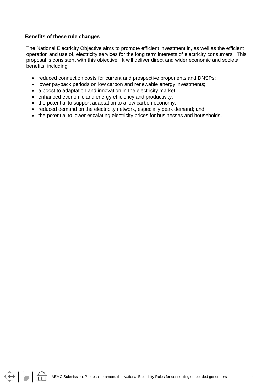#### **Benefits of these rule changes**

The National Electricity Objective aims to promote efficient investment in, as well as the efficient operation and use of, electricity services for the long term interests of electricity consumers. This proposal is consistent with this objective. It will deliver direct and wider economic and societal benefits, including:

- reduced connection costs for current and prospective proponents and DNSPs;
- lower payback periods on low carbon and renewable energy investments;
- a boost to adaptation and innovation in the electricity market;
- enhanced economic and energy efficiency and productivity;
- the potential to support adaptation to a low carbon economy;
- reduced demand on the electricity network, especially peak demand; and
- the potential to lower escalating electricity prices for businesses and households.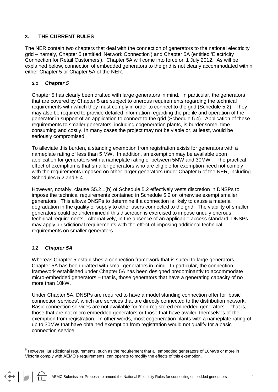#### **3. THE CURRENT RULES**

The NER contain two chapters that deal with the connection of generators to the national electricity grid – namely, Chapter 5 (entitled 'Network Connection') and Chapter 5A (entitled 'Electricity Connection for Retail Customers'). Chapter 5A will come into force on 1 July 2012. As will be explained below, connection of embedded generators to the grid is not clearly accommodated within either Chapter 5 or Chapter 5A of the NER.

#### *3.1 Chapter 5*

Chapter 5 has clearly been drafted with large generators in mind. In particular, the generators that are covered by Chapter 5 are subject to onerous requirements regarding the technical requirements with which they must comply in order to connect to the grid (Schedule 5.2). They may also be required to provide detailed information regarding the profile and operation of the generator in support of an application to connect to the grid (Schedule 5.4). Application of these requirements to smaller generators, including cogeneration plants, is burdensome, timeconsuming and costly. In many cases the project may not be viable or, at least, would be seriously compromised.

To alleviate this burden, a standing exemption from registration exists for generators with a nameplate rating of less than 5 MW. In addition, an exemption may be available upon application for generators with a nameplate rating of between 5MW and 30MW $5$ . The practical effect of exemption is that smaller generators who are eligible for exemption need not comply with the requirements imposed on other larger generators under Chapter 5 of the NER, including Schedules 5.2 and 5.4.

However, notably, clause S5.2.1(b) of Schedule 5.2 effectively vests discretion in DNSPs to impose the technical requirements contained in Schedule 5.2 on otherwise exempt smaller generators. This allows DNSPs to determine if a connection is likely to cause a material degradation in the quality of supply to other users connected to the grid. The viability of smaller generators could be undermined if this discretion is exercised to impose unduly onerous technical requirements. Alternatively, in the absence of an applicable access standard, DNSPs may apply jurisdictional requirements with the effect of imposing additional technical requirements on smaller generators.

#### *3.2 Chapter 5A*

 $\left|\bullet\right|$   $\left|\uparrow\right|$ 

Whereas Chapter 5 establishes a connection framework that is suited to large generators, Chapter 5A has been drafted with small generators in mind. In particular, the connection framework established under Chapter 5A has been designed predominantly to accommodate micro-embedded generators – that is, those generators that have a generating capacity of no more than 10kW.

Under Chapter 5A, DNSPs are required to have a model standing connection offer for 'basic connection services', which are services that are directly connected to the distribution network. Basic connection services are not available for 'non-registered embedded generators' – that is, those that are not micro embedded generators or those that have availed themselves of the exemption from registration. In other words, most cogeneration plants with a nameplate rating of up to 30MW that have obtained exemption from registration would not qualify for a basic connection service.

AEMC Submission: Proposal to amend the National Electricity Rules for connecting embedded generators 9

l  $<sup>5</sup>$  However, jurisdictional requirements, such as the requirement that all embedded generators of 10MWs or more in</sup> Victoria comply with AEMO"s requirements, can operate to modify the effects of this exemption.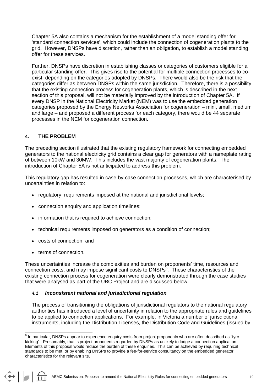Chapter 5A also contains a mechanism for the establishment of a model standing offer for 'standard connection services', which could include the connection of cogeneration plants to the grid. However, DNSPs have discretion, rather than an obligation, to establish a model standing offer for these services.

Further, DNSPs have discretion in establishing classes or categories of customers eligible for a particular standing offer. This gives rise to the potential for multiple connection processes to coexist, depending on the categories adopted by DNSPs. There would also be the risk that the categories differ as between DNSPs within the same jurisdiction. Therefore, there is a possibility that the existing connection process for cogeneration plants, which is described in the next section of this proposal, will not be materially improved by the introduction of Chapter 5A. If every DNSP in the National Electricity Market (NEM) was to use the embedded generation categories proposed by the Energy Networks Association for cogeneration – mini, small, medium and large – and proposed a different process for each category, there would be 44 separate processes in the NEM for cogeneration connection.

#### **4. THE PROBLEM**

The preceding section illustrated that the existing regulatory framework for connecting embedded generators to the national electricity grid contains a clear gap for generators with a nameplate rating of between 10kW and 30MW. This includes the vast majority of cogeneration plants. The introduction of Chapter 5A is not anticipated to address this problem.

This regulatory gap has resulted in case-by-case connection processes, which are characterised by uncertainties in relation to:

- regulatory requirements imposed at the national and jurisdictional levels:
- connection enquiry and application timelines;
- information that is required to achieve connection:
- technical requirements imposed on generators as a condition of connection;
- costs of connection; and
- terms of connection.

These uncertainties increase the complexities and burden on proponents" time, resources and connection costs, and may impose significant costs to DNSPs<sup>6</sup>. These characteristics of the existing connection process for cogeneration were clearly demonstrated through the case studies that were analysed as part of the UBC Project and are discussed below.

#### *4.1 Inconsistent national and jurisdictional regulation*

The process of transitioning the obligations of jurisdictional regulators to the national regulatory authorities has introduced a level of uncertainty in relation to the appropriate rules and guidelines to be applied to connection applications. For example, in Victoria a number of jurisdictional instruments, including the Distribution Licenses, the Distribution Code and Guidelines (issued by

 6 In particular, DNSPs appear to experience enquiry costs from project proponents who are often described as "tyre kicking". Presumably, that is project proponents regarded by DNSPs as unlikely to lodge a connection application. Elements of this proposal would reduce the burden of these enquiries. This can be achieved by requiring technical standards to be met, or by enabling DNSPs to provide a fee-for-service consultancy on the embedded generator characteristics for the relevant site.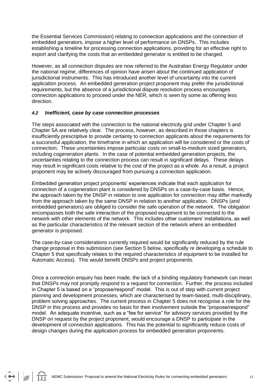the Essential Services Commission) relating to connection applications and the connection of embedded generators, impose a higher level of performance on DNSPs. This includes establishing a timeline for processing connection applications, providing for an effective right to export and clarifying the costs that an embedded generator is entitled to be charged.

However, as all connection disputes are now referred to the Australian Energy Regulator under the national regime, differences of opinion have arisen about the continued application of jurisdictional instruments. This has introduced another level of uncertainty into the current application process. An embedded generation project proponent may prefer the jurisdictional requirements, but the absence of a jurisdictional dispute resolution process encourages connection applications to proceed under the NER, which is seen by some as offering less direction.

#### *4.2 Inefficient, case by case connection processes*

The steps associated with the connection to the national electricity grid under Chapter 5 and Chapter 5A are relatively clear. The process, however, as described in those chapters is insufficiently prescriptive to provide certainty to connection applicants about the requirements for a successful application, the timeframe in which an application will be considered or the costs of connection. These uncertainties impose particular costs on small-to-medium sized generators, including cogeneration plants. In the case of potential embedded generation projects, the uncertainties relating to the connection process can result in significant delays. These delays may result in significant costs relative to the cost of the project as a whole. As a result, a project proponent may be actively discouraged from pursuing a connection application.

Embedded generation project proponents" experiences indicate that each application for connection of a cogeneration plant is considered by DNSPs on a case-by-case basis. Hence, the approach taken by the DNSP in relation to one application for connection may differ markedly from the approach taken by the same DNSP in relation to another application. DNSPs (and embedded generators) are obliged to consider the safe operation of the network. The obligation encompasses both the safe interaction of the proposed equipment to be connected to the network with other elements of the network. This includes other customers" installations, as well as the particular characteristics of the relevant section of the network where an embedded generator is proposed.

The case-by-case considerations currently required would be significantly reduced by the rule change proposal in this submission (see Section 5 below, specifically re developing a schedule to Chapter 5 that specifically relates to the required characteristics of equipment to be installed for Automatic Access). This would benefit DNSPs and project proponents.

Once a connection enquiry has been made, the lack of a binding regulatory framework can mean that DNSPs may not promptly respond to a request for connection. Further, the process included in Chapter 5 is based on a "propose/respond" model. This is out of step with current project planning and development processes, which are characterised by team-based, multi-disciplinary, problem solving approaches. The current process in Chapter 5 does not recognise a role for the DNSP in this process and provides no basis for their involvement outside the "propose/respond" model. An adequate incentive, such as a "fee for service" for advisory services provided by the DNSP on request by the project proponent, would encourage a DNSP to participate in the development of connection applications. This has the potential to significantly reduce costs of design changes during the application process for embedded generation proponents.

 $\left|\bullet\right|$   $\left|\uparrow\right|$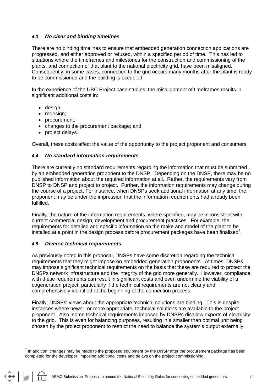#### *4.3 No clear and binding timelines*

There are no binding timelines to ensure that embedded generation connection applications are progressed, and either approved or refused, within a specified period of time. This has led to situations where the timeframes and milestones for the construction and commissioning of the plants, and connection of that plant to the national electricity grid, have been misaligned. Consequently, in some cases, connection to the grid occurs many months after the plant is ready to be commissioned and the building is occupied.

In the experience of the UBC Project case studies, the misalignment of timeframes results in significant additional costs in:

- design;
- redesign;
- procurement;
- changes to the procurement package; and
- project delays.

Overall, these costs affect the value of the opportunity to the project proponent and consumers.

#### *4.4 No standard information requirements*

There are currently no standard requirements regarding the information that must be submitted by an embedded generation proponent to the DNSP. Depending on the DNSP, there may be no published information about the required information at all. Rather, the requirements vary from DNSP to DNSP and project to project. Further, the information requirements may change during the course of a project. For instance, when DNSPs seek additional information at any time, the proponent may be under the impression that the information requirements had already been fulfilled.

Finally, the nature of the information requirements, where specified, may be inconsistent with current commercial design, development and procurement practices. For example, the requirements for detailed and specific information on the make and model of the plant to be installed at a point in the design process before procurement packages have been finalised<sup>7</sup>.

#### *4.5 Diverse technical requirements*

As previously noted in this proposal, DNSPs have some discretion regarding the technical requirements that they might impose on embedded generation proponents. At times, DNSPs may impose significant technical requirements on the basis that these are required to protect the DNSPs network infrastructure and the integrity of the grid more generally. However, compliance with these requirements can result in significant costs and even undermine the viability of a cogeneration project, particularly if the technical requirements are not clearly and comprehensively identified at the beginning of the connection process.

Finally, DNSPs' views about the appropriate technical solutions are binding. This is despite instances where newer, or more appropriate, technical solutions are available to the project proponent. Also, some technical requirements imposed by DNSPs disallow exports of electricity to the grid. This is even for balancing purposes, resulting in a smaller than optimal unit being chosen by the project proponent to restrict the need to balance the system"s output externally.

 7 In addition, changes may be made to the proposed equipment by the DNSP after the procurement package has been completed for the developer, imposing additional costs and delays on the project commissioning.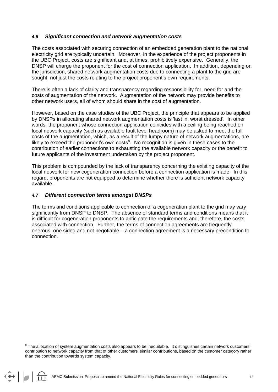#### *4.6 Significant connection and network augmentation costs*

The costs associated with securing connection of an embedded generation plant to the national electricity grid are typically uncertain. Moreover, in the experience of the project proponents in the UBC Project, costs are significant and, at times, prohibitively expensive. Generally, the DNSP will charge the proponent for the cost of connection application. In addition, depending on the jurisdiction, shared network augmentation costs due to connecting a plant to the grid are sought, not just the costs relating to the project proponent's own requirements.

There is often a lack of clarity and transparency regarding responsibility for, need for and the costs of augmentation of the network. Augmentation of the network may provide benefits to other network users, all of whom should share in the cost of augmentation.

However, based on the case studies of the UBC Project, the principle that appears to be applied by DNSPs in allocating shared network augmentation costs is 'last in, worst dressed'. In other words, the proponent whose connection application coincides with a ceiling being reached on local network capacity (such as available fault level headroom) may be asked to meet the full costs of the augmentation, which, as a result of the lumpy nature of network augmentations, are likely to exceed the proponent's own costs ${}^{8}$ . No recognition is given in these cases to the contribution of earlier connections to exhausting the available network capacity or the benefit to future applicants of the investment undertaken by the project proponent.

This problem is compounded by the lack of transparency concerning the existing capacity of the local network for new cogeneration connection before a connection application is made. In this regard, proponents are not equipped to determine whether there is sufficient network capacity available.

#### *4.7 Different connection terms amongst DNSPs*

The terms and conditions applicable to connection of a cogeneration plant to the grid may vary significantly from DNSP to DNSP. The absence of standard terms and conditions means that it is difficult for cogeneration proponents to anticipate the requirements and, therefore, the costs associated with connection. Further, the terms of connection agreements are frequently onerous, one sided and not negotiable – a connection agreement is a necessary precondition to connection.

a<br><sup>8</sup> The allocation of system augmentation costs also appears to be inequitable. It distinguishes certain network customers' contribution to network capacity from that of other customers" similar contributions, based on the customer category rather than the contribution towards system capacity.

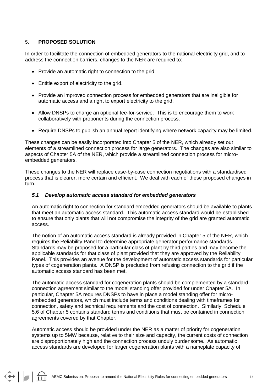#### **5. PROPOSED SOLUTION**

 $\bullet$ 

In order to facilitate the connection of embedded generators to the national electricity grid, and to address the connection barriers, changes to the NER are required to:

- Provide an automatic right to connection to the grid.
- Entitle export of electricity to the grid.
- Provide an improved connection process for embedded generators that are ineligible for automatic access and a right to export electricity to the grid.
- Allow DNSPs to charge an optional fee-for-service. This is to encourage them to work collaboratively with proponents during the connection process.
- Require DNSPs to publish an annual report identifying where network capacity may be limited.

These changes can be easily incorporated into Chapter 5 of the NER, which already set out elements of a streamlined connection process for large generators. The changes are also similar to aspects of Chapter 5A of the NER, which provide a streamlined connection process for microembedded generators.

These changes to the NER will replace case-by-case connection negotiations with a standardised process that is clearer, more certain and efficient. We deal with each of these proposed changes in turn.

#### *5.1 Develop automatic access standard for embedded generators*

An automatic right to connection for standard embedded generators should be available to plants that meet an automatic access standard. This automatic access standard would be established to ensure that only plants that will not compromise the integrity of the grid are granted automatic access.

The notion of an automatic access standard is already provided in Chapter 5 of the NER, which requires the Reliability Panel to determine appropriate generator performance standards. Standards may be proposed for a particular class of plant by third parties and may become the applicable standards for that class of plant provided that they are approved by the Reliability Panel. This provides an avenue for the development of automatic access standards for particular types of cogeneration plants. A DNSP is precluded from refusing connection to the grid if the automatic access standard has been met.

The automatic access standard for cogeneration plants should be complemented by a standard connection agreement similar to the model standing offer provided for under Chapter 5A. In particular, Chapter 5A requires DNSPs to have in place a model standing offer for microembedded generators, which must include terms and conditions dealing with timeframes for connection, safety and technical requirements and the cost of connection. Similarly, Schedule 5.6 of Chapter 5 contains standard terms and conditions that must be contained in connection agreements covered by that Chapter.

Automatic access should be provided under the NER as a matter of priority for cogeneration systems up to 5MW because, relative to their size and capacity, the current costs of connection are disproportionately high and the connection process unduly burdensome. As automatic access standards are developed for larger cogeneration plants with a nameplate capacity of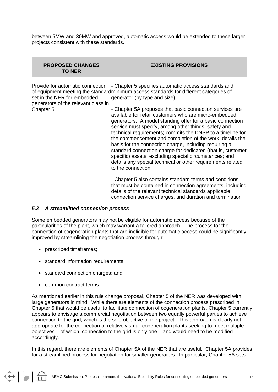between 5MW and 30MW and approved, automatic access would be extended to these larger projects consistent with these standards.

#### **PROPOSED CHANGES TO NER**

**EXISTING PROVISIONS**

Provide for automatic connection - Chapter 5 specifies automatic access standards and of equipment meeting the standardminimum access standards for different categories of set in the NER for embedded generator (by type and size).

generators of the relevant class in Chapter 5.

- Chapter 5A proposes that basic connection services are available for retail customers who are micro-embedded generators. A model standing offer for a basic connection service must specify, among other things: safety and technical requirements; commits the DNSP to a timeline for the commencement and completion of the work; details the basis for the connection charge, including requiring a standard connection charge for dedicated (that is, customer specific) assets, excluding special circumstances; and details any special technical or other requirements related to the connection.

- Chapter 5 also contains standard terms and conditions that must be contained in connection agreements, including details of the relevant technical standards applicable, connection service charges, and duration and termination

#### *5.2 A streamlined connection process*

Some embedded generators may not be eligible for automatic access because of the particularities of the plant, which may warrant a tailored approach. The process for the connection of cogeneration plants that are ineligible for automatic access could be significantly improved by streamlining the negotiation process through:

- prescribed timeframes:
- standard information requirements;
- standard connection charges; and
- common contract terms.

 $\bigodot$   $\bigodot$ 

As mentioned earlier in this rule change proposal, Chapter 5 of the NER was developed with large generators in mind. While there are elements of the connection process prescribed in Chapter 5 that would be useful to facilitate connection of cogeneration plants, Chapter 5 currently appears to envisage a commercial negotiation between two equally powerful parties to achieve connection to the grid, which is the sole objective of the project. This approach is clearly not appropriate for the connection of relatively small cogeneration plants seeking to meet multiple objectives – of which, connection to the grid is only one – and would need to be modified accordingly.

In this regard, there are elements of Chapter 5A of the NER that are useful. Chapter 5A provides for a streamlined process for negotiation for smaller generators. In particular, Chapter 5A sets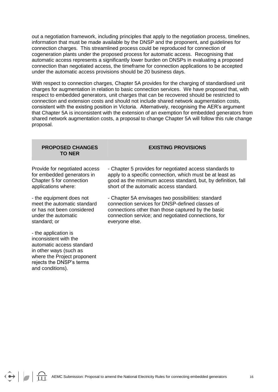out a negotiation framework, including principles that apply to the negotiation process, timelines, information that must be made available by the DNSP and the proponent, and guidelines for connection charges. This streamlined process could be reproduced for connection of cogeneration plants under the proposed process for automatic access. Recognising that automatic access represents a significantly lower burden on DNSPs in evaluating a proposed connection than negotiated access, the timeframe for connection applications to be accepted under the automatic access provisions should be 20 business days.

With respect to connection charges, Chapter 5A provides for the charging of standardised unit charges for augmentation in relation to basic connection services. We have proposed that, with respect to embedded generators, unit charges that can be recovered should be restricted to connection and extension costs and should not include shared network augmentation costs, consistent with the existing position in Victoria. Alternatively, recognising the AER"s argument that Chapter 5A is inconsistent with the extension of an exemption for embedded generators from shared network augmentation costs, a proposal to change Chapter 5A will follow this rule change proposal.

#### **PROPOSED CHANGES TO NER**

#### **EXISTING PROVISIONS**

Provide for negotiated access for embedded generators in Chapter 5 for connection applications where:

- the equipment does not meet the automatic standard or has not been considered under the automatic standard; or

- the application is inconsistent with the automatic access standard in other ways (such as where the Project proponent rejects the DNSP"s terms and conditions).

 $\leftrightarrow$   $\frac{1}{111}$ 

- Chapter 5 provides for negotiated access standards to apply to a specific connection, which must be at least as good as the minimum access standard, but, by definition, fall short of the automatic access standard.

- Chapter 5A envisages two possibilities: standard connection services for DNSP-defined classes of connections other than those captured by the basic connection service; and negotiated connections, for everyone else.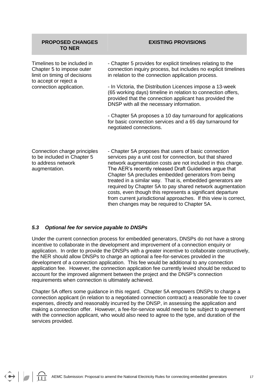| <b>PROPOSED CHANGES</b><br><b>TO NER</b>                                                                          | <b>EXISTING PROVISIONS</b>                                                                                                                                                                                                                                                                        |
|-------------------------------------------------------------------------------------------------------------------|---------------------------------------------------------------------------------------------------------------------------------------------------------------------------------------------------------------------------------------------------------------------------------------------------|
| Timelines to be included in<br>Chapter 5 to impose outer<br>limit on timing of decisions<br>to accept or reject a | - Chapter 5 provides for explicit timelines relating to the<br>connection inquiry process, but includes no explicit timelines<br>in relation to the connection application process.                                                                                                               |
| connection application.                                                                                           | - In Victoria, the Distribution Licences impose a 13-week<br>(65 working days) timeline in relation to connection offers,<br>provided that the connection applicant has provided the<br>DNSP with all the necessary information.                                                                  |
|                                                                                                                   | - Chapter 5A proposes a 10 day turnaround for applications<br>for basic connection services and a 65 day turnaround for<br>negotiated connections.                                                                                                                                                |
| Connection charge principles<br>to be included in Chapter 5<br>to address network<br>augmentation.                | - Chapter 5A proposes that users of basic connection<br>services pay a unit cost for connection, but that shared<br>network augmentation costs are not included in this charge.<br>The AER's recently released Draft Guidelines argue that<br>Chapter 5A precludes embedded generators from being |

#### *5.3 Optional fee for service payable to DNSPs*

 $\left\langle \bullet \right\rangle$   $\left\langle \bullet \right\rangle$ 

Under the current connection process for embedded generators, DNSPs do not have a strong incentive to collaborate in the development and improvement of a connection enquiry or application. In order to provide the DNSPs with a greater incentive to collaborate constructively, the NER should allow DNSPs to charge an optional a fee-for-services provided in the development of a connection application. This fee would be additional to any connection application fee. However, the connection application fee currently levied should be reduced to account for the improved alignment between the project and the DNSP's connection requirements when connection is ultimately achieved.

treated in a similar way. That is, embedded generators are required by Chapter 5A to pay shared network augmentation costs, even though this represents a significant departure from current jurisdictional approaches. If this view is correct,

then changes may be required to Chapter 5A.

Chapter 5A offers some guidance in this regard. Chapter 5A empowers DNSPs to charge a connection applicant (in relation to a negotiated connection contract) a reasonable fee to cover expenses, directly and reasonably incurred by the DNSP, in assessing the application and making a connection offer. However, a fee-for-service would need to be subject to agreement with the connection applicant, who would also need to agree to the type, and duration of the services provided.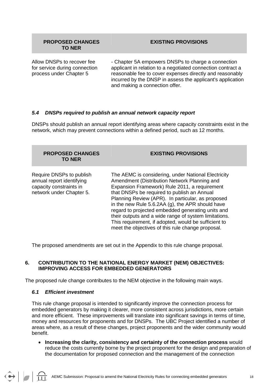#### **PROPOSED CHANGES TO NER**

#### **EXISTING PROVISIONS**

Allow DNSPs to recover fee for service during connection process under Chapter 5

- Chapter 5A empowers DNSPs to charge a connection applicant in relation to a negotiated connection contract a reasonable fee to cover expenses directly and reasonably incurred by the DNSP in assess the applicant's application and making a connection offer.

#### *5.4 DNSPs required to publish an annual network capacity report*

DNSPs should publish an annual report identifying areas where capacity constraints exist in the network, which may prevent connections within a defined period, such as 12 months.

| <b>PROPOSED CHANGES</b><br><b>TO NER</b>                                                                     | <b>EXISTING PROVISIONS</b>                                                                                                                                                                                                                                                                                                                                                                                                                                                                                                              |
|--------------------------------------------------------------------------------------------------------------|-----------------------------------------------------------------------------------------------------------------------------------------------------------------------------------------------------------------------------------------------------------------------------------------------------------------------------------------------------------------------------------------------------------------------------------------------------------------------------------------------------------------------------------------|
| Require DNSPs to publish<br>annual report identifying<br>capacity constraints in<br>network under Chapter 5. | The AEMC is considering, under National Electricity<br>Amendment (Distribution Network Planning and<br>Expansion Framework) Rule 2011, a requirement<br>that DNSPs be required to publish an Annual<br>Planning Review (APR). In particular, as proposed<br>in the new Rule 5.6.2AA (g), the APR should have<br>regard to projected embedded generating units and<br>their outputs and a wide range of system limitations.<br>This requirement, if adopted, would be sufficient to<br>meet the objectives of this rule change proposal. |

The proposed amendments are set out in the Appendix to this rule change proposal.

#### **6. CONTRIBUTION TO THE NATIONAL ENERGY MARKET (NEM) OBJECTIVES: IMPROVING ACCESS FOR EMBEDDED GENERATORS**

The proposed rule change contributes to the NEM objective in the following main ways.

#### *6.1 Efficient investment*

This rule change proposal is intended to significantly improve the connection process for embedded generators by making it clearer, more consistent across jurisdictions, more certain and more efficient. These improvements will translate into significant savings in terms of time, money and resources for proponents and for DNSPs. The UBC Project identified a number of areas where, as a result of these changes, project proponents and the wider community would benefit.

 **Increasing the clarity, consistency and certainty of the connection process** would reduce the costs currently borne by the project proponent for the design and preparation of the documentation for proposed connection and the management of the connection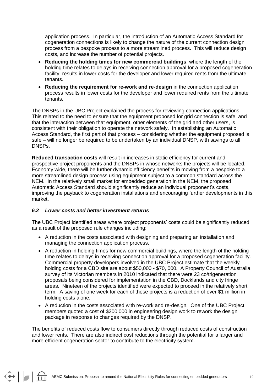application process. In particular, the introduction of an Automatic Access Standard for cogeneration connections is likely to change the nature of the current connection design process from a bespoke process to a more streamlined process. This will reduce design costs, and increase the number of potential projects.

- **Reducing the holding times for new commercial buildings**, where the length of the holding time relates to delays in receiving connection approval for a proposed cogeneration facility, results in lower costs for the developer and lower required rents from the ultimate tenants.
- **Reducing the requirement for re-work and re-design** in the connection application process results in lower costs for the developer and lower required rents from the ultimate tenants.

The DNSPs in the UBC Project explained the process for reviewing connection applications. This related to the need to ensure that the equipment proposed for grid connection is safe, and that the interaction between that equipment, other elements of the grid and other users, is consistent with their obligation to operate the network safely. In establishing an Automatic Access Standard, the first part of that process – considering whether the equipment proposed is safe – will no longer be required to be undertaken by an individual DNSP, with savings to all DNSPs.

**Reduced transaction costs** will result in increases in static efficiency for current and prospective project proponents and the DNSPs in whose networks the projects will be located. Economy wide, there will be further dynamic efficiency benefits in moving from a bespoke to a more streamlined design process using equipment subject to a common standard across the NEM. In the relatively small market for embedded generation in the NEM, the proposed Automatic Access Standard should significantly reduce an individual proponent"s costs, improving the payback to cogeneration installations and encouraging further developments in this market.

#### *6.2 Lower costs and better investment returns*

 $\bigodot$   $\bigodot$ 

The UBC Project identified areas where project proponents" costs could be significantly reduced as a result of the proposed rule changes including:

- A reduction in the costs associated with designing and preparing an installation and managing the connection application process.
- A reduction in holding times for new commercial buildings, where the length of the holding time relates to delays in receiving connection approval for a proposed cogeneration facility. Commercial property developers involved in the UBC Project estimate that the weekly holding costs for a CBD site are about \$50,000 - \$70, 000. A Property Council of Australia survey of its Victorian members in 2010 indicated that there were 23 co/trigeneration proposals being considered for implementation in the CBD, Docklands and city fringe areas. Nineteen of the projects identified were expected to proceed in the relatively short term. A saving of one week for each of these projects is a reduction of over \$1 million in holding costs alone.
- A reduction in the costs associated with re-work and re-design. One of the UBC Project members quoted a cost of \$200,000 in engineering design work to rework the design package in response to changes required by the DNSP.

The benefits of reduced costs flow to consumers directly through reduced costs of construction and lower rents. There are also indirect cost reductions through the potential for a larger and more efficient cogeneration sector to contribute to the electricity system.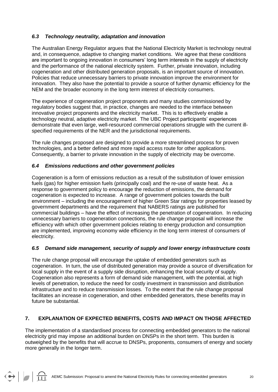#### *6.3 Technology neutrality, adaptation and innovation*

The Australian Energy Regulator argues that the National Electricity Market is technology neutral and, in consequence, adaptive to changing market conditions. We agree that these conditions are important to ongoing innovation in consumers" long term interests in the supply of electricity and the performance of the national electricity system. Further, private innovation, including cogeneration and other distributed generation proposals, is an important source of innovation. Policies that reduce unnecessary barriers to private innovation improve the environment for innovation. They also have the potential to provide a source of further dynamic efficiency for the NEM and the broader economy in the long term interest of electricity consumers.

The experience of cogeneration project proponents and many studies commissioned by regulatory bodies suggest that, in practice, changes are needed to the interface between innovative project proponents and the electricity market. This is to effectively enable a technology neutral, adaptive electricity market. The UBC Project participants" experiences demonstrate that even large, well-resourced commercial operations struggle with the current illspecified requirements of the NER and the jurisdictional requirements.

The rule changes proposed are designed to provide a more streamlined process for proven technologies, and a better defined and more rapid access route for other applications. Consequently, a barrier to private innovation in the supply of electricity may be overcome.

#### *6.4 Emissions reductions and other government policies*

Cogeneration is a form of emissions reduction as a result of the substitution of lower emission fuels (gas) for higher emission fuels (principally coal) and the re-use of waste heat. As a response to government policy to encourage the reduction of emissions, the demand for cogeneration is expected to increase. A range of government policies towards the built environment – including the encouragement of higher Green Star ratings for properties leased by government departments and the requirement that NABERS ratings are published for commercial buildings – have the effect of increasing the penetration of cogeneration. In reducing unnecessary barriers to cogeneration connections, the rule change proposal will increase the efficiency with which other government policies relating to energy production and consumption are implemented, improving economy wide efficiency in the long term interest of consumers of electricity.

#### *6.5 Demand side management, security of supply and lower energy infrastructure costs*

The rule change proposal will encourage the uptake of embedded generators such as cogeneration. In turn, the use of distributed generation may provide a source of diversification for local supply in the event of a supply side disruption, enhancing the local security of supply. Cogeneration also represents a form of demand side management, with the potential, at high levels of penetration, to reduce the need for costly investment in transmission and distribution infrastructure and to reduce transmission losses. To the extent that the rule change proposal facilitates an increase in cogeneration, and other embedded generators, these benefits may in future be substantial.

#### **7. EXPLANATION OF EXPECTED BENEFITS, COSTS AND IMPACT ON THOSE AFFECTED**

The implementation of a standardised process for connecting embedded generators to the national electricity grid may impose an additional burden on DNSPs in the short term. This burden is outweighed by the benefits that will accrue to DNSPs, proponents, consumers of energy and society more generally in the longer term.

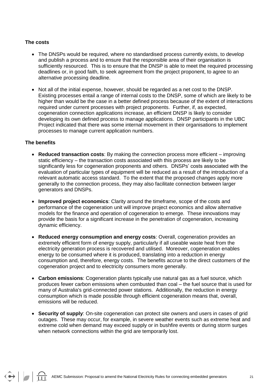#### **The costs**

- The DNSPs would be required, where no standardised process currently exists, to develop and publish a process and to ensure that the responsible area of their organisation is sufficiently resourced. This is to ensure that the DNSP is able to meet the required processing deadlines or, in good faith, to seek agreement from the project proponent, to agree to an alternative processing deadline.
- Not all of the initial expense, however, should be regarded as a net cost to the DNSP. Existing processes entail a range of internal costs to the DNSP, some of which are likely to be higher than would be the case in a better defined process because of the extent of interactions required under current processes with project proponents. Further, if, as expected, cogeneration connection applications increase, an efficient DNSP is likely to consider developing its own defined process to manage applications. DNSP participants in the UBC Project indicated that there was some internal movement in their organisations to implement processes to manage current application numbers.

#### **The benefits**

 $\bigodot$   $\bigodot$ 

- **Reduced transaction costs**: By making the connection process more efficient improving static efficiency – the transaction costs associated with this process are likely to be significantly less for cogeneration proponents and others. DNSPs" costs associated with the evaluation of particular types of equipment will be reduced as a result of the introduction of a relevant automatic access standard. To the extent that the proposed changes apply more generally to the connection process, they may also facilitate connection between larger generators and DNSPs.
- **Improved project economics**: Clarity around the timeframe, scope of the costs and performance of the cogeneration unit will improve project economics and allow alternative models for the finance and operation of cogeneration to emerge. These innovations may provide the basis for a significant increase in the penetration of cogeneration, increasing dynamic efficiency.
- **Reduced energy consumption and energy costs**: Overall, cogeneration provides an extremely efficient form of energy supply, particularly if all useable waste heat from the electricity generation process is recovered and utilised. Moreover, cogeneration enables energy to be consumed where it is produced, translating into a reduction in energy consumption and, therefore, energy costs. The benefits accrue to the direct customers of the cogeneration project and to electricity consumers more generally.
- **Carbon emissions**: Cogeneration plants typically use natural gas as a fuel source, which produces fewer carbon emissions when combusted than coal – the fuel source that is used for many of Australia's grid-connected power stations. Additionally, the reduction in energy consumption which is made possible through efficient cogeneration means that, overall, emissions will be reduced.
- **Security of supply**: On-site cogeneration can protect site owners and users in cases of grid outages. These may occur, for example, in severe weather events such as extreme heat and extreme cold when demand may exceed supply or in bushfire events or during storm surges when network connections within the grid are temporarily lost.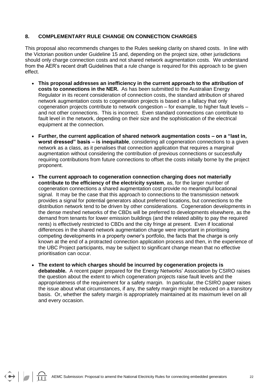#### **8. COMPLEMENTARY RULE CHANGE ON CONNECTION CHARGES**

This proposal also recommends changes to the Rules seeking clarity on shared costs. In line with the Victorian position under Guideline 15 and, depending on the project size, other jurisdictions should only charge connection costs and not shared network augmentation costs. We understand from the AER"s recent draft Guidelines that a rule change is required for this approach to be given effect.

- **This proposal addresses an inefficiency in the current approach to the attribution of costs to connections in the NER.** As has been submitted to the Australian Energy Regulator in its recent consideration of connection costs, the standard attribution of shared network augmentation costs to cogeneration projects is based on a fallacy that only cogeneration projects contribute to network congestion – for example, to higher fault levels – and not other connections. This is incorrect. Even standard connections can contribute to fault level in the network, depending on their size and the sophistication of the electrical equipment at the connection.
- **Further, the current application of shared network augmentation costs – on a "last in, worst dressed" basis – is inequitable**, considering all cogeneration connections to a given network as a class, as it penalises that connection application that requires a marginal augmentation without considering the contribution of previous connections or successfully requiring contributions from future connections to offset the costs initially borne by the project proponent.
- **The current approach to cogeneration connection charging does not materially contribute to the efficiency of the electricity system**, as, for the larger number of cogeneration connections a shared augmentation cost provide no meaningful locational signal. It may be the case that this approach to connections to the transmission network provides a signal for potential generators about preferred locations, but connections to the distribution network tend to be driven by other considerations. Cogeneration developments in the dense meshed networks of the CBDs will be preferred to developments elsewhere, as the demand from tenants for lower emission buildings (and the related ability to pay the required rents) is effectively restricted to CBDs and the city fringe at present. Even if locational differences in the shared network augmentation charge were important in prioritising competing developments in a property owner"s portfolio, the facts that the charge is only known at the end of a protracted connection application process and then, in the experience of the UBC Project participants, may be subject to significant change mean that no effective prioritisation can occur.
- **The extent to which charges should be incurred by cogeneration projects is debateable.** A recent paper prepared for the Energy Networks" Association by CSIRO raises the question about the extent to which cogeneration projects raise fault levels and the appropriateness of the requirement for a safety margin. In particular, the CSIRO paper raises the issue about what circumstances, if any, the safety margin might be reduced on a transitory basis. Or, whether the safety margin is appropriately maintained at its maximum level on all and every occasion.

 $\Theta$   $\Box$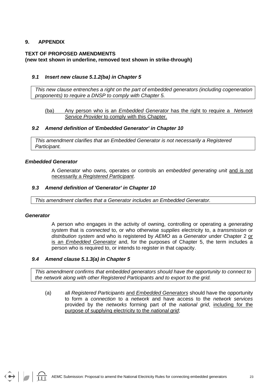#### **9. APPENDIX**

### **TEXT OF PROPOSED AMENDMENTS**

#### **(new text shown in underline, removed text shown in strike-through)**

#### *9.1 Insert new clause 5.1.2(ba) in Chapter 5*

*This new clause entrenches a right on the part of embedded generators (including cogeneration proponents) to require a DNSP to comply with Chapter 5.*

#### (ba) Any person who is an *Embedded Generator* has the right to require a *Network Service Provider* to comply with this Chapter.

#### *9.2 Amend definition of 'Embedded Generator' in Chapter 10*

*This amendment clarifies that an Embedded Generator is not necessarily a Registered Participant.*

#### *Embedded Generator*

A *Generator* who owns, operates or controls an *embedded generating unit* and is not necessarily a *Registered Participant*.

#### *9.3 Amend definition of 'Generator' in Chapter 10*

*This amendment clarifies that a Generator includes an Embedded Generator.*

#### *Generator*

A person who engages in the activity of owning, controlling or operating a *generating system* that is *connected* to, or who otherwise *supplies* electricity to, a *transmission* or *distribution system* and who is registered by *AEMO* as a *Generator* under Chapter 2 or is an *Embedded Generator* and, for the purposes of Chapter 5, the term includes a person who is required to, or intends to register in that capacity.

#### *9.4 Amend clause 5.1.3(a) in Chapter 5*

*This amendment confirms that embedded generators should have the opportunity to connect to the network along with other Registered Participants and to export to the grid.*

(a) all *Registered Participants* and *Embedded Generators* should have the opportunity to form a *connection* to a *network* and have access to the *network services* provided by the *networks* forming part of the *national grid*, including for the purpose of supplying electricity to the *national grid*;

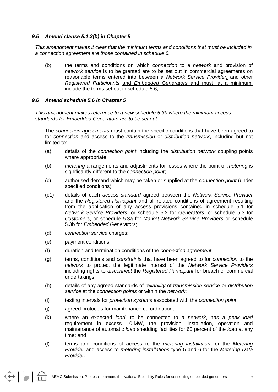#### *9.5 Amend clause 5.1.3(b) in Chapter 5*

*This amendment makes it clear that the minimum terms and conditions that must be included in a connection agreement are those contained in schedule 6.* 

(b) the terms and conditions on which *connection* to a *network* and provision of *network service* is to be granted are to be set out in commercial agreements on reasonable terms entered into between a *Network Service Provider,* and other *Registered Participants* and *Embedded Generators* and must, at a minimum, include the terms set out in schedule 5.6;

#### *9.6 Amend schedule 5.6 in Chapter 5*

*This amendment makes reference to a new schedule 5.3b where the minimum access standards for Embedded Generators are to be set out.* 

The *connection agreements* must contain the specific conditions that have been agreed to for *connection* and access to the *transmission* or *distribution network*, including but not limited to:

- (a) details of the *connection point* including the *distribution network* coupling points where appropriate;
- (b) *metering* arrangements and adjustments for losses where the point of *metering* is significantly different to the *connection point*;
- (c) authorised demand which may be taken or supplied at the *connection point* (under specified conditions);
- (c1) details of each *access standard* agreed between the *Network Service Provider* and the *Registered Participant* and all related conditions of agreement resulting from the application of any access provisions contained in schedule 5.1 for *Network Service Providers*, or schedule 5.2 for *Generators*, or schedule 5.3 for *Customers*, or schedule 5.3a for *Market Network Service Providers* or schedule 5.3b for *Embedded Generators*;
- (d) *connection service* charges;
- (e) payment conditions;

 $\Theta$   $\Box$ 

- (f) duration and termination conditions of the *connection agreement*;
- (g) terms, conditions and *constraints* that have been agreed to for *connection* to the *network* to protect the legitimate interest of the *Network Service Providers* including rights to *disconnect* the *Registered Participant* for breach of commercial undertakings;
- (h) details of any agreed standards of *reliability* of *transmission service* or *distribution service* at the *connection points* or within the *network*;
- (i) testing intervals for *protection systems* associated with the *connection point*;
- (j) agreed protocols for maintenance co-ordination;
- (k) where an expected *load*, to be connected to a *network*, has a *peak load* requirement in excess 10 MW, the provision, installation, operation and maintenance of automatic *load* shedding facilities for 60 percent of the *load* at any time; and
- (l) terms and conditions of access to the *metering installation* for the *Metering Provider* and access to *metering installations* type 5 and 6 for the *Metering Data Provider*.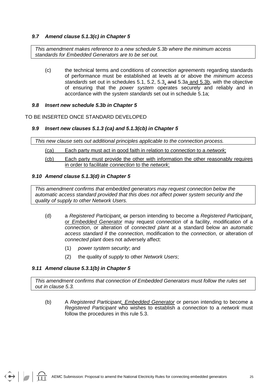#### *9.7 Amend clause 5.1.3(c) in Chapter 5*

*This amendment makes reference to a new schedule 5.3b where the minimum access standards for Embedded Generators are to be set out.* 

(c) the technical terms and conditions of *connection agreements* regarding standards of performance must be established at levels at or above the *minimum access standards* set out in schedules 5.1, 5.2, 5.3, and 5.3a and 5.3b, with the objective of ensuring that the *power system* operates securely and reliably and in accordance with the *system standards* set out in schedule 5.1a;

#### *9.8 Insert new schedule 5.3b in Chapter 5*

TO BE INSERTED ONCE STANDARD DEVELOPED

#### *9.9 Insert new clauses 5.1.3 (ca) and 5.1.3(cb) in Chapter 5*

*This new clause sets out additional principles applicable to the connection process.* 

- (ca) Each party must act in good faith in relation to *connection* to a *network*;
- (cb) Each party must provide the other with information the other reasonably requires in order to facilitate *connection* to the *network*;

#### *9.10 Amend clause 5.1.3(d) in Chapter 5*

*This amendment confirms that embedded generators may request connection below the automatic access standard provided that this does not affect power system security and the quality of supply to other Network Users.*

- (d) a *Registered Participant,* or person intending to become a *Registered Participant*, or *Embedded Generator* may request *connection* of a facility, modification of a *connection*, or alteration of *connected plant* at a standard below an *automatic access standard* if the *connection*, modification to the *connection*, or alteration of *connected plant* does not adversely affect:
	- (1) *power system security*; and
	- (2) the quality of *supply* to other *Network Users*;

#### *9.11 Amend clause 5.3.1(b) in Chapter 5*

*This amendment confirms that connection of Embedded Generators must follow the rules set out in clause 5.3.*

(b) A *Registered Participant, Embedded Generator* or person intending to become a *Registered Participant* who wishes to establish a *connection* to a *network* must follow the procedures in this rule 5.3.

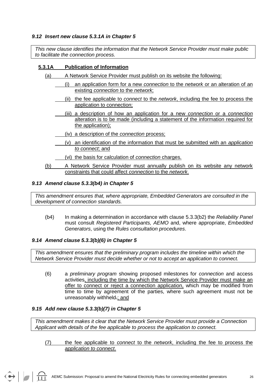#### *9.12 Insert new clause 5.3.1A in Chapter 5*

*This new clause identifies the information that the Network Service Provider must make public to facilitate the connection process.*

#### **5.3.1A Publication of Information**

- (a) A Network Service Provider must publish on its website the following:
	- (i) an application form for a new *connection* to the *network* or an alteration of an existing *connection* to the *network*;
	- (ii) the fee applicable to *connect* to the *network*, including the fee to process the application to connection;
	- (iii) a description of how an application for a new *connection* or a *connection* alteration is to be made (including a statement of the information required for the application);
	- (iv) a description of the *connection* process;
	- (v) an identification of the information that must be submitted with an *application to connect*; and
	- (vi) the basis for calculation of *connection* charges.
- (b) A Network Service Provider must annually publish on its website any network constraints that could affect *connection* to the *network*.

#### *9.13 Amend clause 5.3.3(b4) in Chapter 5*

*This amendment ensures that, where appropriate, Embedded Generators are consulted in the development of connection standards.*

(b4) In making a determination in accordance with clause 5.3.3(b2) the *Reliability Panel* must consult *Registered Participants, AEMO* and, where appropriate, *Embedded Generators*, using the *Rules consultation procedures*.

#### *9.14 Amend clause 5.3.3(b)(6) in Chapter 5*

*This amendment ensures that the preliminary program includes the timeline within which the Network Service Provider must decide whether or not to accept an application to connect.*

(6) a *preliminary program* showing proposed milestones for *connection* and access activities, including the time by which the Network Service Provider must make an offer to connect or reject a connection application, which may be modified from time to time by agreement of the parties, where such agreement must not be unreasonably withheld-; and

#### *9.15 Add new clause 5.3.3(b)(7) in Chapter 5*

*This amendment makes it clear that the Network Service Provider must provide a Connection Applicant with details of the fee applicable to process the application to connect.*

(7) the fee applicable to *connect* to the *network*, including the fee to process the *application to connect*.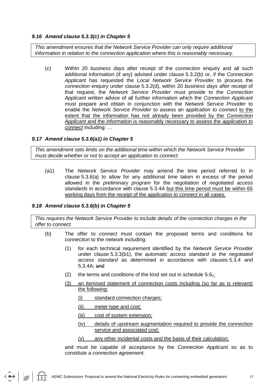#### *9.16 Amend clause 5.3.3(c) in Chapter 5*

*This amendment ensures that the Network Service Provider can only require additional information in relation to the connection application where this is reasonably necessary.*

(c) Within 20 *business days* after receipt of the *connection* enquiry and all such additional information (if any) advised under clause 5.3.2(b) or, if the *Connection Applicant* has requested the *Local Network Service Provider* to process the *connection* enquiry under clause 5.3.2(d), within 20 *business days* after receipt of that request, the *Network Service Provider* must provide to the *Connection Applicant* written advice of all further information which the *Connection Applicant* must prepare and obtain in conjunction with the *Network Service Provider* to enable the *Network Service Provider* to assess an *application to connect* to the extent that the information has not already been provided by the *Connection Applicant* and the information is reasonably necessary to assess the *application to connect* including: …

#### *9.17 Amend clause 5.3.6(a1) in Chapter 5*

*This amendment sets limits on the additional time within which the Network Service Provider must decide whether or not to accept an application to connect.*

(a1) The *Network Service Provider* may amend the time period referred to in clause 5.3.6(a) to allow for any additional time taken in excess of the period allowed in the *preliminary program* for the negotiation of *negotiated access standards* in accordance with clause 5.3.4A but this time period must be within 65 working days from the receipt of the *application to connect* in all cases.

#### *9.18 Amend clause 5.3.6(b) in Chapter 5*

 $\bigodot \bigotimes \bigodot$ 

*This requires the Network Service Provider to include details of the connection charges in the offer to connect.*

- (b) The offer to *connect* must contain the proposed terms and conditions for *connection* to the *network* including:
	- (1) for each technical requirement identified by the *Network Service Provider* under clause 5.3.3(b1), the *automatic access standard* or the *negotiated access standard* as determined in accordance with clauses 5.3.4 and 5.3.4A; and
	- (2) the terms and conditions of the kind set out in schedule  $5.6$ .
	- (3) an itemised statement of connection costs including (so far as is relevant) the following:
		- (i) standard connection charges;
		- (ii) meter type and cost;
		- (iii) cost of system extension;
		- (iv) details of upstream augmentation required to provide the connection service and associated cost;
		- (v) any other incidental costs and the basis of their calculation;

and must be capable of acceptance by the *Connection Applicant* so as to constitute a *connection agreement*.